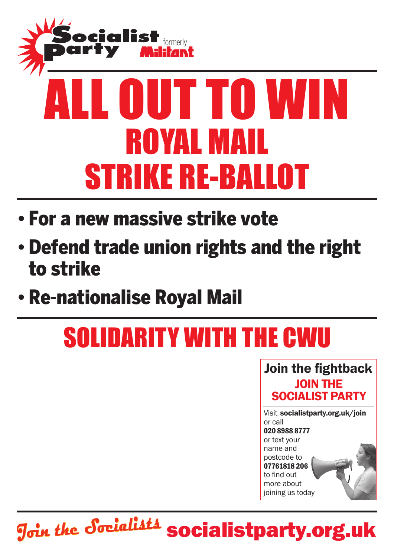

- • For a new massive strike vote
- • Defend trade union rights and the right to strike
- • Re-nationalise Royal Mail

## solidarity with the CWU

Join the fightback JOIN THE SOCIALIST party



socialistparty.org.uk **Join the Socialists**